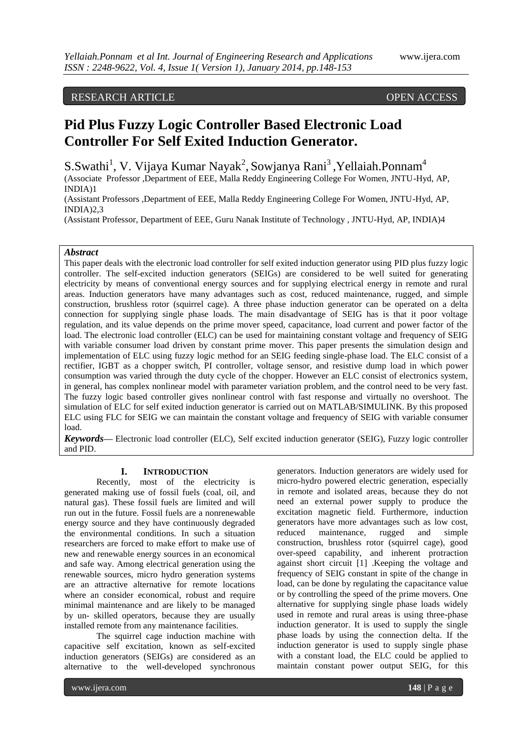## RESEARCH ARTICLE OPEN ACCESS

# **Pid Plus Fuzzy Logic Controller Based Electronic Load Controller For Self Exited Induction Generator.**

S.Swathi<sup>1</sup>, V. Vijaya Kumar Nayak<sup>2</sup>, Sowjanya Rani<sup>3</sup>, Yellaiah.Ponnam<sup>4</sup>

(Associate Professor ,Department of EEE, Malla Reddy Engineering College For Women, JNTU-Hyd, AP, INDIA)1

(Assistant Professors ,Department of EEE, Malla Reddy Engineering College For Women, JNTU-Hyd, AP, INDIA)2,3

(Assistant Professor, Department of EEE, Guru Nanak Institute of Technology , JNTU-Hyd, AP, INDIA)4

## *Abstract*

This paper deals with the electronic load controller for self exited induction generator using PID plus fuzzy logic controller. The self-excited induction generators (SEIGs) are considered to be well suited for generating electricity by means of conventional energy sources and for supplying electrical energy in remote and rural areas. Induction generators have many advantages such as cost, reduced maintenance, rugged, and simple construction, brushless rotor (squirrel cage). A three phase induction generator can be operated on a delta connection for supplying single phase loads. The main disadvantage of SEIG has is that it poor voltage regulation, and its value depends on the prime mover speed, capacitance, load current and power factor of the load. The electronic load controller (ELC) can be used for maintaining constant voltage and frequency of SEIG with variable consumer load driven by constant prime mover. This paper presents the simulation design and implementation of ELC using fuzzy logic method for an SEIG feeding single-phase load. The ELC consist of a rectifier, IGBT as a chopper switch, PI controller, voltage sensor, and resistive dump load in which power consumption was varied through the duty cycle of the chopper. However an ELC consist of electronics system, in general, has complex nonlinear model with parameter variation problem, and the control need to be very fast. The fuzzy logic based controller gives nonlinear control with fast response and virtually no overshoot. The simulation of ELC for self exited induction generator is carried out on MATLAB/SIMULINK. By this proposed ELC using FLC for SEIG we can maintain the constant voltage and frequency of SEIG with variable consumer load.

*Keywords—* Electronic load controller (ELC), Self excited induction generator (SEIG), Fuzzy logic controller and PID.

### **I. INTRODUCTION**

Recently, most of the electricity is generated making use of fossil fuels (coal, oil, and natural gas). These fossil fuels are limited and will run out in the future. Fossil fuels are a nonrenewable energy source and they have continuously degraded the environmental conditions. In such a situation researchers are forced to make effort to make use of new and renewable energy sources in an economical and safe way. Among electrical generation using the renewable sources, micro hydro generation systems are an attractive alternative for remote locations where an consider economical, robust and require minimal maintenance and are likely to be managed by un- skilled operators, because they are usually installed remote from any maintenance facilities.

The squirrel cage induction machine with capacitive self excitation, known as self-excited induction generators (SEIGs) are considered as an alternative to the well-developed synchronous

generators. Induction generators are widely used for micro-hydro powered electric generation, especially in remote and isolated areas, because they do not need an external power supply to produce the excitation magnetic field. Furthermore, induction generators have more advantages such as low cost, reduced maintenance, rugged and simple construction, brushless rotor (squirrel cage), good over-speed capability, and inherent protraction against short circuit [1] .Keeping the voltage and frequency of SEIG constant in spite of the change in load, can be done by regulating the capacitance value or by controlling the speed of the prime movers. One alternative for supplying single phase loads widely used in remote and rural areas is using three-phase induction generator. It is used to supply the single phase loads by using the connection delta. If the induction generator is used to supply single phase with a constant load, the ELC could be applied to maintain constant power output SEIG, for this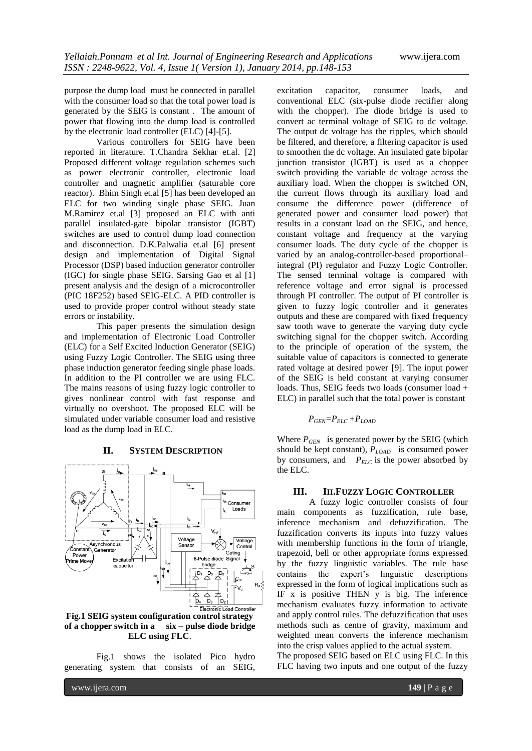purpose the dump load must be connected in parallel with the consumer load so that the total power load is generated by the SEIG is constant . The amount of power that flowing into the dump load is controlled by the electronic load controller (ELC) [4]-[5].

Various controllers for SEIG have been reported in literature. T.Chandra Sekhar et.al. [2] Proposed different voltage regulation schemes such as power electronic controller, electronic load controller and magnetic amplifier (saturable core reactor). Bhim Singh et.al [5] has been developed an ELC for two winding single phase SEIG. Juan M.Ramirez et.al [3] proposed an ELC with anti parallel insulated-gate bipolar transistor (IGBT) switches are used to control dump load connection and disconnection. D.K.Palwalia et.al [6] present design and implementation of Digital Signal Processor (DSP) based induction generator controller (IGC) for single phase SEIG. Sarsing Gao et al [1] present analysis and the design of a microcontroller (PIC 18F252) based SEIG-ELC. A PID controller is used to provide proper control without steady state errors or instability.

This paper presents the simulation design and implementation of Electronic Load Controller (ELC) for a Self Excited Induction Generator (SEIG) using Fuzzy Logic Controller. The SEIG using three phase induction generator feeding single phase loads. In addition to the PI controller we are using FLC. The mains reasons of using fuzzy logic controller to gives nonlinear control with fast response and virtually no overshoot. The proposed ELC will be simulated under variable consumer load and resistive load as the dump load in ELC.

## **II. SYSTEM DESCRIPTION**



**Fig.1 SEIG system configuration control strategy of a chopper switch in a six – pulse diode bridge ELC using FLC**.

Fig.1 shows the isolated Pico hydro generating system that consists of an SEIG,

excitation capacitor, consumer loads, and conventional ELC (six-pulse diode rectifier along with the chopper). The diode bridge is used to convert ac terminal voltage of SEIG to dc voltage. The output dc voltage has the ripples, which should be filtered, and therefore, a filtering capacitor is used to smoothen the dc voltage. An insulated gate bipolar junction transistor (IGBT) is used as a chopper switch providing the variable dc voltage across the auxiliary load. When the chopper is switched ON, the current flows through its auxiliary load and consume the difference power (difference of generated power and consumer load power) that results in a constant load on the SEIG, and hence, constant voltage and frequency at the varying consumer loads. The duty cycle of the chopper is varied by an analog-controller-based proportional– integral (PI) regulator and Fuzzy Logic Controller. The sensed terminal voltage is compared with reference voltage and error signal is processed through PI controller. The output of PI controller is given to fuzzy logic controller and it generates outputs and these are compared with fixed frequency saw tooth wave to generate the varying duty cycle switching signal for the chopper switch. According to the principle of operation of the system, the suitable value of capacitors is connected to generate rated voltage at desired power [9]. The input power of the SEIG is held constant at varying consumer loads. Thus, SEIG feeds two loads (consumer load + ELC) in parallel such that the total power is constant

$$
P_{GEN} = P_{ELC} + P_{LOAD}
$$

Where  $P_{GEN}$  is generated power by the SEIG (which should be kept constant), *PLOAD* is consumed power by consumers, and  $P_{ELC}$  is the power absorbed by the ELC.

## **III. III.FUZZY LOGIC CONTROLLER**

A fuzzy logic controller consists of four main components as fuzzification, rule base, inference mechanism and defuzzification. The fuzzification converts its inputs into fuzzy values with membership functions in the form of triangle, trapezoid, bell or other appropriate forms expressed by the fuzzy linguistic variables. The rule base contains the expert's linguistic descriptions expressed in the form of logical implications such as IF x is positive THEN y is big. The inference mechanism evaluates fuzzy information to activate and apply control rules. The defuzzification that uses methods such as centre of gravity, maximum and weighted mean converts the inference mechanism into the crisp values applied to the actual system.

The proposed SEIG based on ELC using FLC. In this FLC having two inputs and one output of the fuzzy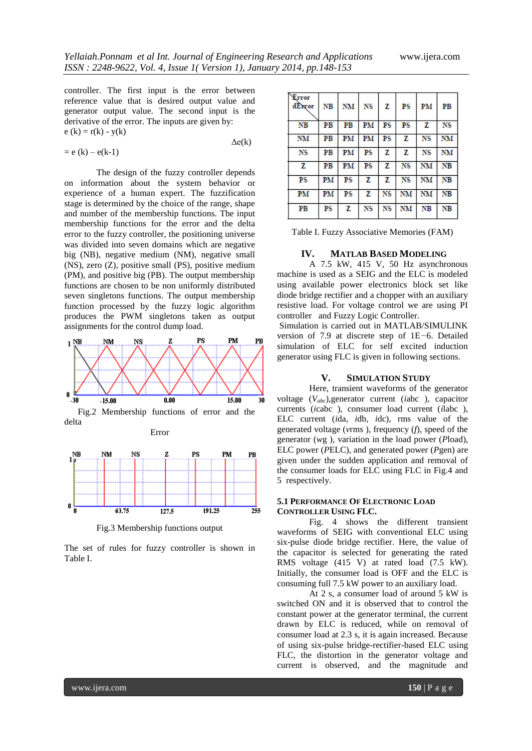controller. The first input is the error between reference value that is desired output value and generator output value. The second input is the derivative of the error. The inputs are given by:  $e (k) = r(k) - y(k)$ 

$$
= e(k) - e(k-1)
$$
  $\Delta e(k)$ 

The design of the fuzzy controller depends on information about the system behavior or experience of a human expert. The fuzzification stage is determined by the choice of the range, shape and number of the membership functions. The input membership functions for the error and the delta error to the fuzzy controller, the positioning universe was divided into seven domains which are negative big (NB), negative medium (NM), negative small (NS), zero (Z), positive small (PS), positive medium (PM), and positive big (PB). The output membership functions are chosen to be non uniformly distributed seven singletons functions. The output membership function processed by the fuzzy logic algorithm produces the PWM singletons taken as output assignments for the control dump load.



 Fig.2 Membership functions of error and the delta Error



Fig.3 Membership functions output

The set of rules for fuzzy controller is shown in Table I.

| Error<br>dError | $_{\rm NB}$ | NM NS |       | z    | PS          | PM        | PB |
|-----------------|-------------|-------|-------|------|-------------|-----------|----|
| NΒ              | PB          | PВ    | PM    | PS   | $_{\rm PS}$ | z         | NS |
| NM              | PВ          |       | PM PM | PS   | z           | <b>NS</b> | NM |
| NS              | PВ          | PM    | PS    | z    | z           | NS        | NM |
| z               | PВ          | PM    | PS    | z    | NS          | NM        | NΒ |
| $_{\rm PS}$     | PM          | PS    | z     | ΖI   | NS          | NM        | NВ |
| PM              | PM          | PS    | z l   |      |             | NS NM NM  | NВ |
| PB              | PS          | z     | NS    | NS I | <b>NM</b>   | NB        | NΒ |

Table I. Fuzzy Associative Memories (FAM)

#### **IV. MATLAB BASED MODELING**

A 7.5 kW, 415 V, 50 Hz asynchronous machine is used as a SEIG and the ELC is modeled using available power electronics block set like diode bridge rectifier and a chopper with an auxiliary resistive load. For voltage control we are using PI controller and Fuzzy Logic Controller.

Simulation is carried out in MATLAB/SIMULINK version of 7.9 at discrete step of 1E*−*6. Detailed simulation of ELC for self excited induction generator using FLC is given in following sections.

## **V. SIMULATION STUDY**

Here, transient waveforms of the generator voltage (*Vabc*),generator current (*i*abc ), capacitor currents (*i*cabc ), consumer load current (*i*labc ), ELC current (*i*da*, i*db*, i*dc), rms value of the generated voltage (*v*rms ), frequency (*f*), speed of the generator (*w*g ), variation in the load power (*P*load), ELC power (*P*ELC), and generated power (*P*gen) are given under the sudden application and removal of the consumer loads for ELC using FLC in Fig.4 and 5 respectively.

## **5.1 PERFORMANCE OF ELECTRONIC LOAD CONTROLLER USING FLC.**

Fig. 4 shows the different transient waveforms of SEIG with conventional ELC using six-pulse diode bridge rectifier. Here, the value of the capacitor is selected for generating the rated RMS voltage (415 V) at rated load (7.5 kW). Initially, the consumer load is OFF and the ELC is consuming full 7.5 kW power to an auxiliary load.

At 2 s, a consumer load of around 5 kW is switched ON and it is observed that to control the constant power at the generator terminal, the current drawn by ELC is reduced, while on removal of consumer load at 2.3 s, it is again increased. Because of using six-pulse bridge-rectifier-based ELC using FLC, the distortion in the generator voltage and current is observed, and the magnitude and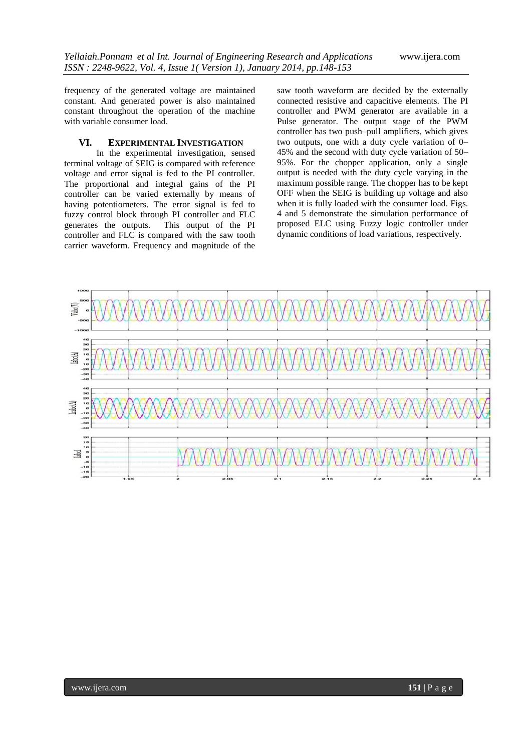frequency of the generated voltage are maintained constant. And generated power is also maintained constant throughout the operation of the machine with variable consumer load.

## **VI. EXPERIMENTAL INVESTIGATION**

In the experimental investigation, sensed terminal voltage of SEIG is compared with reference voltage and error signal is fed to the PI controller. The proportional and integral gains of the PI controller can be varied externally by means of having potentiometers. The error signal is fed to fuzzy control block through PI controller and FLC generates the outputs. This output of the PI controller and FLC is compared with the saw tooth carrier waveform. Frequency and magnitude of the

saw tooth waveform are decided by the externally connected resistive and capacitive elements. The PI controller and PWM generator are available in a Pulse generator. The output stage of the PWM controller has two push–pull amplifiers, which gives two outputs, one with a duty cycle variation of 0– 45% and the second with duty cycle variation of 50– 95%. For the chopper application, only a single output is needed with the duty cycle varying in the maximum possible range. The chopper has to be kept OFF when the SEIG is building up voltage and also when it is fully loaded with the consumer load. Figs. 4 and 5 demonstrate the simulation performance of proposed ELC using Fuzzy logic controller under dynamic conditions of load variations, respectively.

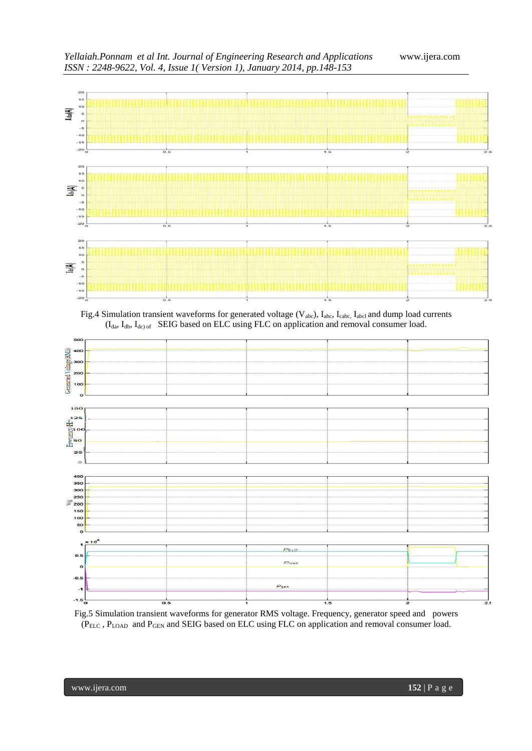

Fig.5 Simulation transient waveforms for generator RMS voltage. Frequency, generator speed and powers (PELC , PLOAD and PGEN and SEIG based on ELC using FLC on application and removal consumer load.

 $P_{gen}$ 

 $\overline{\circ}$ .

 $-1.5$